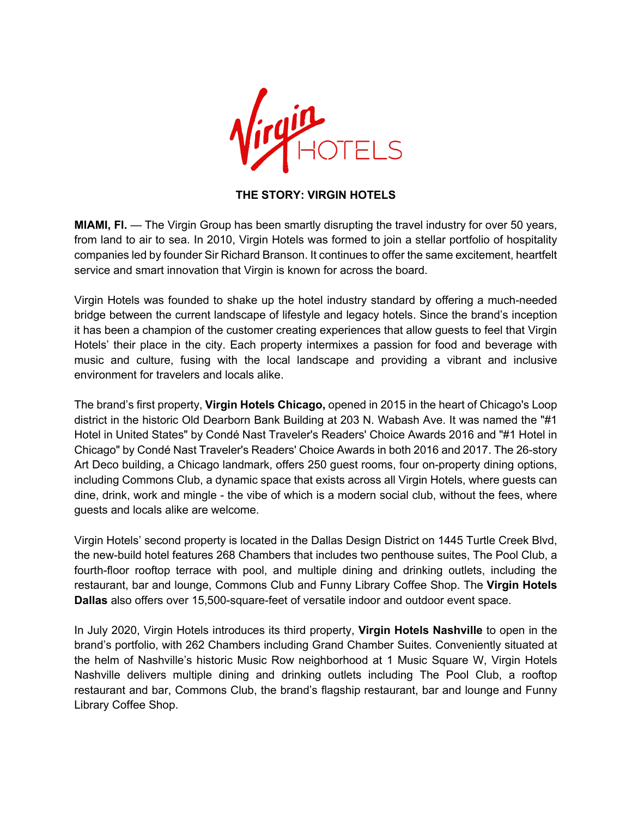

## **THE STORY: VIRGIN HOTELS**

**MIAMI, FI.** — The Virgin Group has been smartly disrupting the travel industry for over 50 years, from land to air to sea. In 2010, Virgin Hotels was formed to join a stellar portfolio of hospitality companies led by founder Sir Richard Branson. It continues to offer the same excitement, heartfelt service and smart innovation that Virgin is known for across the board.

Virgin Hotels was founded to shake up the hotel industry standard by offering a much-needed bridge between the current landscape of lifestyle and legacy hotels. Since the brand's inception it has been a champion of the customer creating experiences that allow guests to feel that Virgin Hotels' their place in the city. Each property intermixes a passion for food and beverage with music and culture, fusing with the local landscape and providing a vibrant and inclusive environment for travelers and locals alike.

The brand's first property, **Virgin Hotels Chicago,** opened in 2015 in the heart of Chicago's Loop district in the historic Old Dearborn Bank Building at 203 N. Wabash Ave. It was named the "#1 Hotel in United States" by Condé Nast Traveler's Readers' Choice Awards 2016 and "#1 Hotel in Chicago" by Condé Nast Traveler's Readers' Choice Awards in both 2016 and 2017. The 26-story Art Deco building, a Chicago landmark, offers 250 guest rooms, four on-property dining options, including Commons Club, a dynamic space that exists across all Virgin Hotels, where guests can dine, drink, work and mingle - the vibe of which is a modern social club, without the fees, where guests and locals alike are welcome.

Virgin Hotels' second property is located in the Dallas Design District on 1445 Turtle Creek Blvd, the new-build hotel features 268 Chambers that includes two penthouse suites, The Pool Club, a fourth-floor rooftop terrace with pool, and multiple dining and drinking outlets, including the restaurant, bar and lounge, Commons Club and Funny Library Coffee Shop. The **Virgin Hotels Dallas** also offers over 15,500-square-feet of versatile indoor and outdoor event space.

In July 2020, Virgin Hotels introduces its third property, **Virgin Hotels Nashville** to open in the brand's portfolio, with 262 Chambers including Grand Chamber Suites. Conveniently situated at the helm of Nashville's historic Music Row neighborhood at 1 Music Square W, Virgin Hotels Nashville delivers multiple dining and drinking outlets including The Pool Club, a rooftop restaurant and bar, Commons Club, the brand's flagship restaurant, bar and lounge and Funny Library Coffee Shop.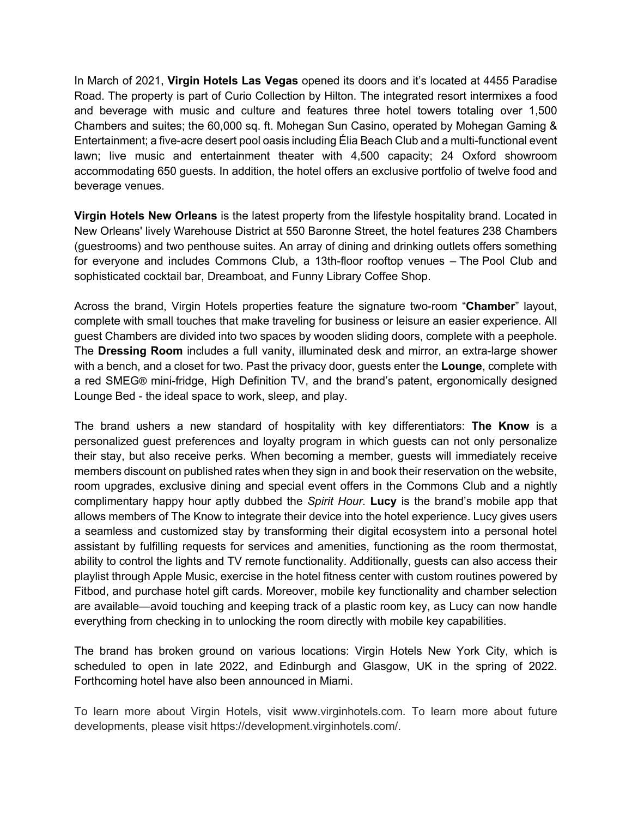In March of 2021, **Virgin Hotels Las Vegas** opened its doors and it's located at 4455 Paradise Road. The property is part of Curio Collection by Hilton. The integrated resort intermixes a food and beverage with music and culture and features three hotel towers totaling over 1,500 Chambers and suites; the 60,000 sq. ft. Mohegan Sun Casino, operated by Mohegan Gaming & Entertainment; a five-acre desert pool oasis including Élia Beach Club and a multi-functional event lawn; live music and entertainment theater with 4,500 capacity; 24 Oxford showroom accommodating 650 guests. In addition, the hotel offers an exclusive portfolio of twelve food and beverage venues.

**Virgin Hotels New Orleans** is the latest property from the lifestyle hospitality brand. Located in New Orleans' lively Warehouse District at 550 Baronne Street, the hotel features 238 Chambers (guestrooms) and two penthouse suites. An array of dining and drinking outlets offers something for everyone and includes Commons Club, a 13th-floor rooftop venues – The Pool Club and sophisticated cocktail bar, Dreamboat, and Funny Library Coffee Shop.

Across the brand, Virgin Hotels properties feature the signature two-room "**Chamber**" layout, complete with small touches that make traveling for business or leisure an easier experience. All guest Chambers are divided into two spaces by wooden sliding doors, complete with a peephole. The **Dressing Room** includes a full vanity, illuminated desk and mirror, an extra-large shower with a bench, and a closet for two. Past the privacy door, guests enter the **Lounge**, complete with a red SMEG® mini-fridge, High Definition TV, and the brand's patent, ergonomically designed Lounge Bed - the ideal space to work, sleep, and play.

The brand ushers a new standard of hospitality with key differentiators: **The Know** is a personalized guest preferences and loyalty program in which guests can not only personalize their stay, but also receive perks. When becoming a member, guests will immediately receive members discount on published rates when they sign in and book their reservation on the website, room upgrades, exclusive dining and special event offers in the Commons Club and a nightly complimentary happy hour aptly dubbed the *Spirit Hour*. **Lucy** is the brand's mobile app that allows members of The Know to integrate their device into the hotel experience. Lucy gives users a seamless and customized stay by transforming their digital ecosystem into a personal hotel assistant by fulfilling requests for services and amenities, functioning as the room thermostat, ability to control the lights and TV remote functionality. Additionally, guests can also access their playlist through Apple Music, exercise in the hotel fitness center with custom routines powered by Fitbod, and purchase hotel gift cards. Moreover, mobile key functionality and chamber selection are available—avoid touching and keeping track of a plastic room key, as Lucy can now handle everything from checking in to unlocking the room directly with mobile key capabilities.

The brand has broken ground on various locations: Virgin Hotels New York City, which is scheduled to open in late 2022, and Edinburgh and Glasgow, UK in the spring of 2022. Forthcoming hotel have also been announced in Miami.

To learn more about Virgin Hotels, visit www.virginhotels.com. To learn more about future developments, please visit https://development.virginhotels.com/.